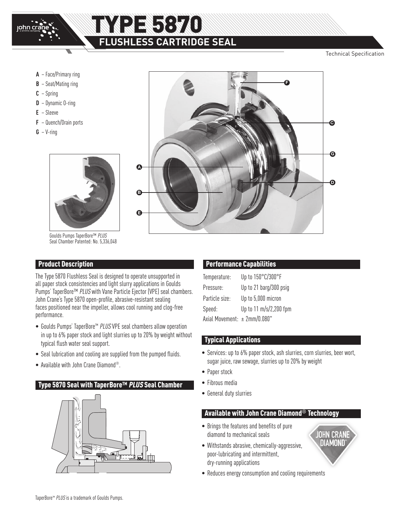

# **RE 5870 FLUSHLESS CARTRIDGE SEAL**

Technical Specification

- **A** Face/Primary ring
- **B** Seat/Mating ring
- **C** Spring
- **D** Dynamic O-ring
- **E** Sleeve
- **F** Quench/Drain ports
- $G V$ -ring



Goulds Pumps TaperBore™ PLUS Seal Chamber Patented: No. 5,336,048

### Product Description

The Type 5870 Flushless Seal is designed to operate unsupported in all paper stock consistencies and light slurry applications in Goulds Pumps' TaperBore™ PLUS with Vane Particle Ejector (VPE) seal chambers. John Crane's Type 5870 open-profile, abrasive-resistant sealing faces positioned near the impeller, allows cool running and clog-free performance.

- Goulds Pumps' TaperBore™ PLUS VPE seal chambers allow operation in up to 6% paper stock and light slurries up to 20% by weight without typical flush water seal support.
- Seal lubrication and cooling are supplied from the pumped fluids.
- Available with John Crane Diamond®.

### Type 5870 Seal with TaperBore™ PLUS Seal Chamber





### Performance Capabilities

| Temperature:                      | Up to 150°C/300°F      |
|-----------------------------------|------------------------|
| Pressure:                         | Up to 21 barg/300 psig |
| Particle size:                    | Up to 5,000 micron     |
| Speed:                            | Up to 11 m/s/2,200 fpm |
| Axial Movement: $\pm 2$ mm/0.080" |                        |

### Typical Applications

- Services: up to 6% paper stock, ash slurries, corn slurries, beer wort, sugar juice, raw sewage, slurries up to 20% by weight
- Paper stock
- Fibrous media
- General duty slurries

### Available with John Crane Diamond**®** Technology

- Brings the features and benefits of pure diamond to mechanical seals
- Withstands abrasive, chemically-aggressive, poor-lubricating and intermittent, dry-running applications
- **OHN CRANE DIAMOND**
- Reduces energy consumption and cooling requirements